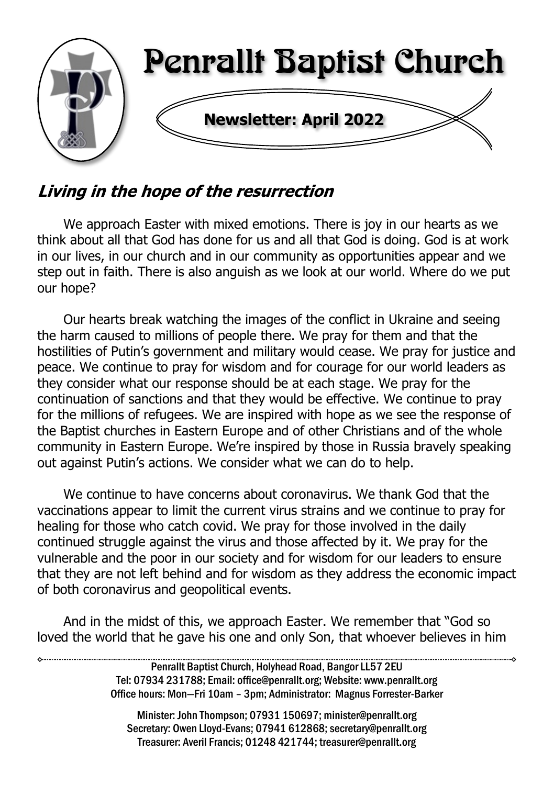

# Living in the hope of the resurrection

We approach Easter with mixed emotions. There is joy in our hearts as we think about all that God has done for us and all that God is doing. God is at work in our lives, in our church and in our community as opportunities appear and we step out in faith. There is also anguish as we look at our world. Where do we put our hope?

Our hearts break watching the images of the conflict in Ukraine and seeing the harm caused to millions of people there. We pray for them and that the hostilities of Putin's government and military would cease. We pray for justice and peace. We continue to pray for wisdom and for courage for our world leaders as they consider what our response should be at each stage. We pray for the continuation of sanctions and that they would be effective. We continue to pray for the millions of refugees. We are inspired with hope as we see the response of the Baptist churches in Eastern Europe and of other Christians and of the whole community in Eastern Europe. We're inspired by those in Russia bravely speaking out against Putin's actions. We consider what we can do to help.

We continue to have concerns about coronavirus. We thank God that the vaccinations appear to limit the current virus strains and we continue to pray for healing for those who catch covid. We pray for those involved in the daily continued struggle against the virus and those affected by it. We pray for the vulnerable and the poor in our society and for wisdom for our leaders to ensure that they are not left behind and for wisdom as they address the economic impact of both coronavirus and geopolitical events.

And in the midst of this, we approach Easter. We remember that "God so loved the world that he gave his one and only Son, that whoever believes in him

> Penrallt Baptist Church, Holyhead Road, Bangor LL57 2EU Tel: 07934 231788; Email: office@penrallt.org; Website: www.penrallt.org Office hours: Mon—Fri 10am – 3pm; Administrator: Magnus Forrester-Barker

Minister: John Thompson; 07931 150697; minister@penrallt.org Secretary: Owen Lloyd-Evans; 07941 612868; secretary@penrallt.org Treasurer: Averil Francis; 01248 421744; treasurer@penrallt.org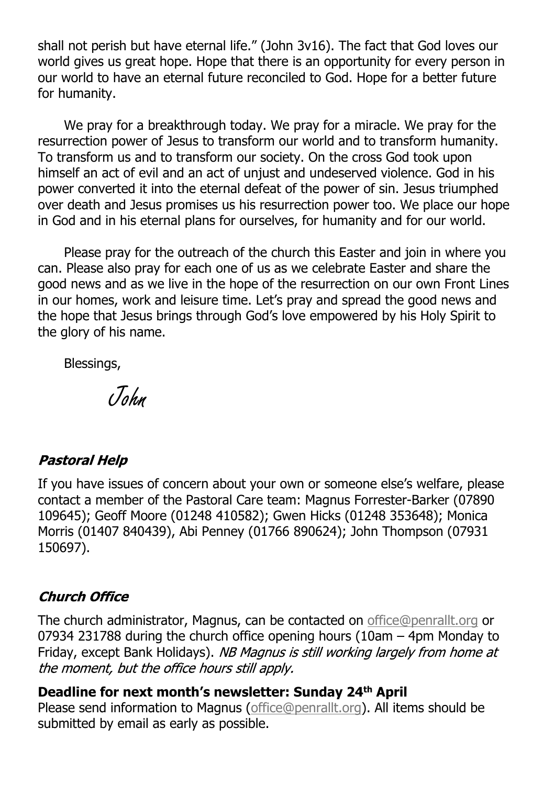shall not perish but have eternal life." (John 3v16). The fact that God loves our world gives us great hope. Hope that there is an opportunity for every person in our world to have an eternal future reconciled to God. Hope for a better future for humanity.

We pray for a breakthrough today. We pray for a miracle. We pray for the resurrection power of Jesus to transform our world and to transform humanity. To transform us and to transform our society. On the cross God took upon himself an act of evil and an act of unjust and undeserved violence. God in his power converted it into the eternal defeat of the power of sin. Jesus triumphed over death and Jesus promises us his resurrection power too. We place our hope in God and in his eternal plans for ourselves, for humanity and for our world.

Please pray for the outreach of the church this Easter and join in where you can. Please also pray for each one of us as we celebrate Easter and share the good news and as we live in the hope of the resurrection on our own Front Lines in our homes, work and leisure time. Let's pray and spread the good news and the hope that Jesus brings through God's love empowered by his Holy Spirit to the glory of his name.

Blessings,

John

#### **Pastoral Help**

If you have issues of concern about your own or someone else's welfare, please contact a member of the Pastoral Care team: Magnus Forrester-Barker (07890 109645); Geoff Moore (01248 410582); Gwen Hicks (01248 353648); Monica Morris (01407 840439), Abi Penney (01766 890624); John Thompson (07931 150697).

#### **Church Office**

The church administrator, Magnus, can be contacted on [office@penrallt.org](mailto:office@penrallt.org) or 07934 231788 during the church office opening hours (10am – 4pm Monday to Friday, except Bank Holidays). NB Magnus is still working largely from home at the moment, but the office hours still apply.

#### **Deadline for next month's newsletter: Sunday 24th April**

Please send information to Magnus [\(office@penrallt.org\)](mailto:office@penrallt.org). All items should be submitted by email as early as possible.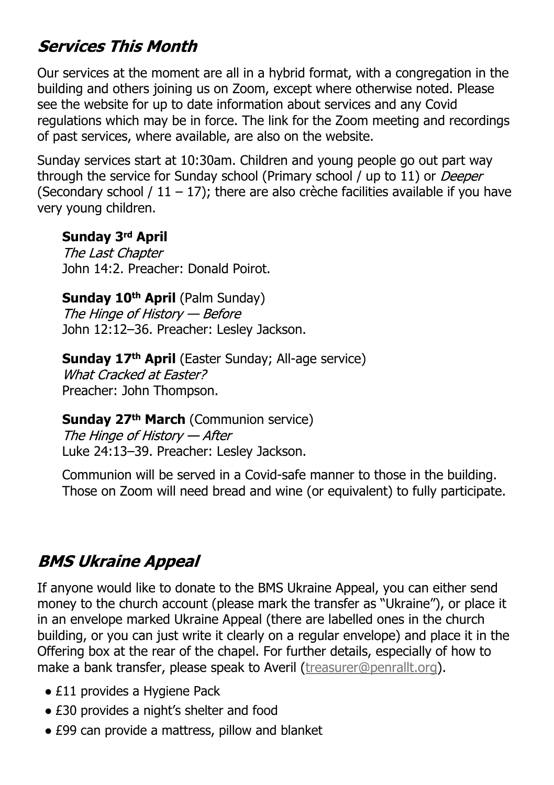# **Services This Month**

Our services at the moment are all in a hybrid format, with a congregation in the building and others joining us on Zoom, except where otherwise noted. Please see the website for up to date information about services and any Covid regulations which may be in force. The link for the Zoom meeting and recordings of past services, where available, are also on the website.

Sunday services start at 10:30am. Children and young people go out part way through the service for Sunday school (Primary school / up to 11) or *Deeper* (Secondary school  $/11 - 17$ ); there are also crèche facilities available if you have very young children.

#### **Sunday 3rd April**

The Last Chapter John 14:2. Preacher: Donald Poirot.

# **Sunday 10<sup>th</sup> April** (Palm Sunday)<br>The Hinge of History — Before

John 12:12–36. Preacher: Lesley Jackson.

#### **Sunday 17th April** (Easter Sunday; All-age service) What Cracked at Faster? Preacher: John Thompson.

#### **Sunday 27th March** (Communion service)

The Hinge of History — After Luke 24:13–39. Preacher: Lesley Jackson.

Communion will be served in a Covid-safe manner to those in the building. Those on Zoom will need bread and wine (or equivalent) to fully participate.

# **BMS Ukraine Appeal**

If anyone would like to donate to the BMS Ukraine Appeal, you can either send money to the church account (please mark the transfer as "Ukraine"), or place it in an envelope marked Ukraine Appeal (there are labelled ones in the church building, or you can just write it clearly on a regular envelope) and place it in the Offering box at the rear of the chapel. For further details, especially of how to make a bank transfer, please speak to Averil ([treasurer@penrallt.org](mailto:treasurer@penrallt.org)).

- £11 provides a Hygiene Pack
- £30 provides a night's shelter and food
- £99 can provide a mattress, pillow and blanket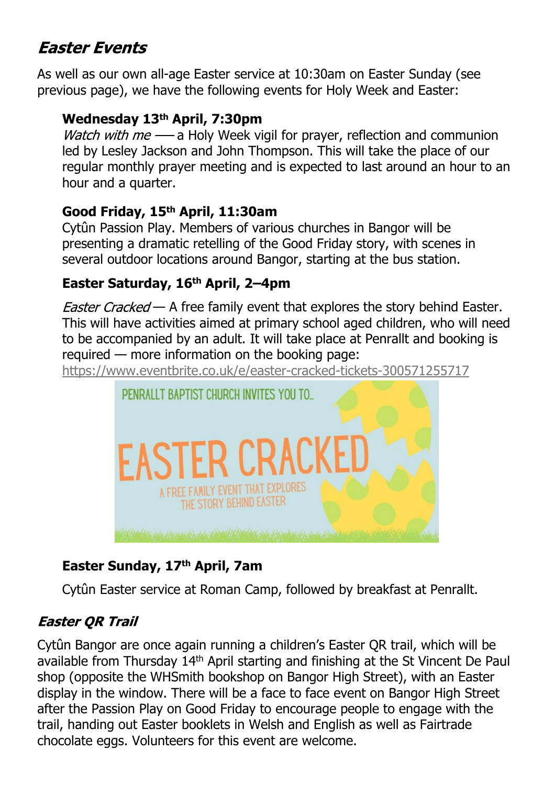# **Faster Fyents**

As well as our own all-age Easter service at 10:30am on Easter Sunday (see previous page), we have the following events for Holy Week and Easter:

#### **Wednesday 13th April, 7:30pm**

*Watch with me*  $-\frac{1}{2}$  Holy Week vigil for prayer, reflection and communion led by Lesley Jackson and John Thompson. This will take the place of our regular monthly prayer meeting and is expected to last around an hour to an hour and a quarter.

#### **Good Friday, 15th April, 11:30am**

Cytûn Passion Play. Members of various churches in Bangor will be presenting a dramatic retelling of the Good Friday story, with scenes in several outdoor locations around Bangor, starting at the bus station.

#### **Easter Saturday, 16th April, 2–4pm**

*Easter Cracked* — A free family event that explores the story behind Easter. This will have activities aimed at primary school aged children, who will need to be accompanied by an adult. It will take place at Penrallt and booking is required — more information on the booking page:

<https://www.eventbrite.co.uk/e/easter-cracked-tickets-300571255717>



### **Easter Sunday, 17th April, 7am**

Cytûn Easter service at Roman Camp, followed by breakfast at Penrallt.

### **Easter OR Trail**

Cytûn Bangor are once again running a children's Easter QR trail, which will be available from Thursday 14th April starting and finishing at the St Vincent De Paul shop (opposite the WHSmith bookshop on Bangor High Street), with an Easter display in the window. There will be a face to face event on Bangor High Street after the Passion Play on Good Friday to encourage people to engage with the trail, handing out Easter booklets in Welsh and English as well as Fairtrade chocolate eggs. Volunteers for this event are welcome.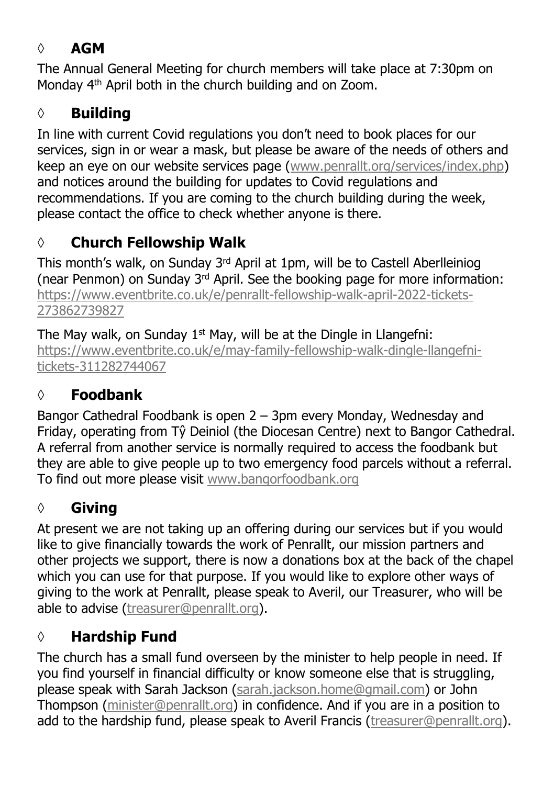## **◊ AGM**

The Annual General Meeting for church members will take place at 7:30pm on Monday 4th April both in the church building and on Zoom.

## **◊ Building**

In line with current Covid regulations you don't need to book places for our services, sign in or wear a mask, but please be aware of the needs of others and keep an eye on our website services page [\(www.penrallt.org/services/index.php\)](https://www.penrallt.org/services/index.php) and notices around the building for updates to Covid regulations and recommendations. If you are coming to the church building during the week, please contact the office to check whether anyone is there.

# **◊ Church Fellowship Walk**

This month's walk, on Sunday  $3<sup>rd</sup>$  April at 1pm, will be to Castell Aberlleiniog (near Penmon) on Sunday 3rd April. See the booking page for more information: [https://www.eventbrite.co.uk/e/penrallt-fellowship-walk-april-2022-tickets-](https://www.eventbrite.co.uk/e/penrallt-fellowship-walk-april-2022-tickets-273862739827)[273862739827](https://www.eventbrite.co.uk/e/penrallt-fellowship-walk-april-2022-tickets-273862739827)

The May walk, on Sunday 1<sup>st</sup> May, will be at the Dingle in Llangefni: [https://www.eventbrite.co.uk/e/may-family-fellowship-walk-dingle-llangefni](https://www.eventbrite.co.uk/e/may-family-fellowship-walk-dingle-llangefni-tickets-311282744067)[tickets-311282744067](https://www.eventbrite.co.uk/e/may-family-fellowship-walk-dingle-llangefni-tickets-311282744067)

## **◊ Foodbank**

Bangor Cathedral Foodbank is open 2 – 3pm every Monday, Wednesday and Friday, operating from Tŷ Deiniol (the Diocesan Centre) next to Bangor Cathedral. A referral from another service is normally required to access the foodbank but they are able to give people up to two emergency food parcels without a referral. To find out more please visit [www.bangorfoodbank.org](https://www.bangorfoodbank.org)

# **◊ Giving**

At present we are not taking up an offering during our services but if you would like to give financially towards the work of Penrallt, our mission partners and other projects we support, there is now a donations box at the back of the chapel which you can use for that purpose. If you would like to explore other ways of giving to the work at Penrallt, please speak to Averil, our Treasurer, who will be able to advise [\(treasurer@penrallt.org](mailto:treasurer@penrallt.org)).

# **◊ Hardship Fund**

The church has a small fund overseen by the minister to help people in need. If you find yourself in financial difficulty or know someone else that is struggling, please speak with Sarah Jackson ([sarah.jackson.home@gmail.com](mailto:sarah.jackson.home@gmail.com)) or John Thompson ([minister@penrallt.org\)](mailto:minister@penrallt.org) in confidence. And if you are in a position to add to the hardship fund, please speak to Averil Francis ([treasurer@penrallt.org\)](mailto:treasurer@penrallt.org).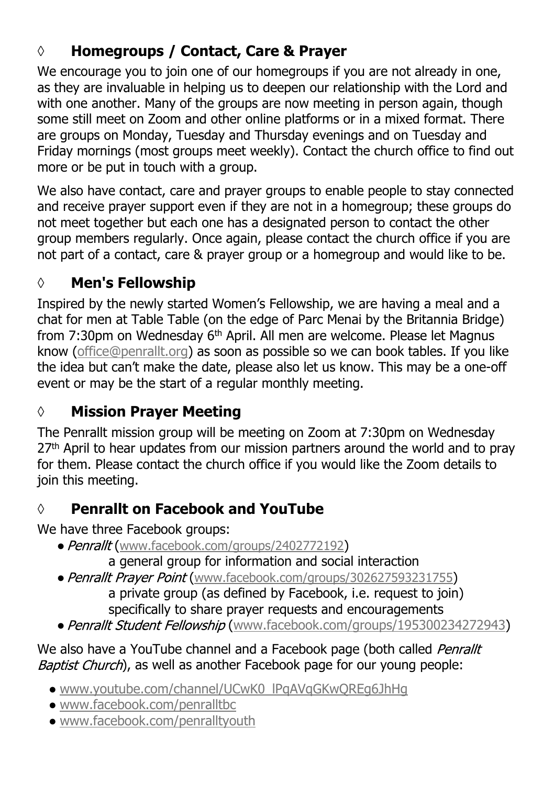# **◊ Homegroups / Contact, Care & Prayer**

We encourage you to join one of our homegroups if you are not already in one, as they are invaluable in helping us to deepen our relationship with the Lord and with one another. Many of the groups are now meeting in person again, though some still meet on Zoom and other online platforms or in a mixed format. There are groups on Monday, Tuesday and Thursday evenings and on Tuesday and Friday mornings (most groups meet weekly). Contact the church office to find out more or be put in touch with a group.

We also have contact, care and prayer groups to enable people to stay connected and receive prayer support even if they are not in a homegroup; these groups do not meet together but each one has a designated person to contact the other group members regularly. Once again, please contact the church office if you are not part of a contact, care & prayer group or a homegroup and would like to be.

## **◊ Men's Fellowship**

Inspired by the newly started Women's Fellowship, we are having a meal and a chat for men at Table Table (on the edge of Parc Menai by the Britannia Bridge) from 7:30pm on Wednesday 6<sup>th</sup> April. All men are welcome. Please let Magnus know ([office@penrallt.org](mailto:office@penrallt.org)) as soon as possible so we can book tables. If you like the idea but can't make the date, please also let us know. This may be a one-off event or may be the start of a regular monthly meeting.

## **◊ Mission Prayer Meeting**

The Penrallt mission group will be meeting on Zoom at 7:30pm on Wednesday  $27<sup>th</sup>$  April to hear updates from our mission partners around the world and to pray for them. Please contact the church office if you would like the Zoom details to join this meeting.

## **◊ Penrallt on Facebook and YouTube**

We have three Facebook groups:

• Penrallt ([www.facebook.com/groups/2402772192](https://www.facebook.com/groups/2402772192))

a general group for information and social interaction

- Penrallt Prayer Point ([www.facebook.com/groups/302627593231755](https://www.facebook.com/groups/302627593231755))
	- a private group (as defined by Facebook, i.e. request to join) specifically to share prayer requests and encouragements
- Penrallt Student Fellowship ([www.facebook.com/groups/195300234272943](https://www.facebook.com/groups/195300234272943))

We also have a YouTube channel and a Facebook page (both called Penrallt Baptist Church), as well as another Facebook page for our young people:

- [www.youtube.com/channel/UCwK0\\_lPqAVqGKwQREg6JhHg](https://www.youtube.com/channel/UCwK0_lPqAVqGKwQREg6JhHg)
- [www.facebook.com/penralltbc](https://www.facebook.com/penralltbc)
- [www.facebook.com/penralltyouth](https://www.facebook.com/penralltyouth)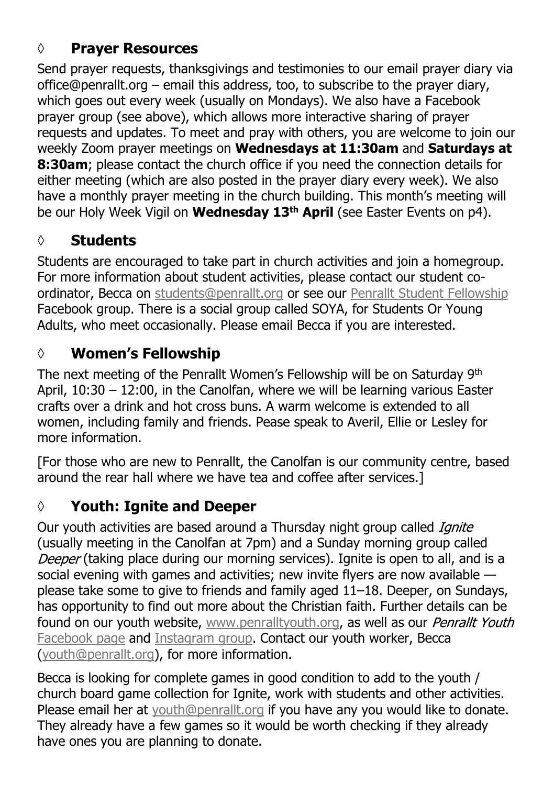## **◊ Prayer Resources**

Send prayer requests, thanksgivings and testimonies to our email prayer diary via office@penrallt.org – email this address, too, to subscribe to the prayer diary, which goes out every week (usually on Mondays). We also have a Facebook prayer group (see above), which allows more interactive sharing of prayer requests and updates. To meet and pray with others, you are welcome to join our weekly Zoom prayer meetings on **Wednesdays at 11:30am** and **Saturdays at 8:30am**; please contact the church office if you need the connection details for either meeting (which are also posted in the prayer diary every week). We also have a monthly prayer meeting in the church building. This month's meeting will be our Holy Week Vigil on **Wednesday 13th April** (see Easter Events on p4).

## **◊ Students**

Students are encouraged to take part in church activities and join a homegroup. For more information about student activities, please contact our student coordinator, Becca on [students@penrallt.org](mailto:students@penrallt.org) or see our [Penrallt Student Fellowship](https://www.facebook.com/groups/195300234272943) Facebook group. There is a social group called SOYA, for Students Or Young Adults, who meet occasionally. Please email Becca if you are interested.

## **◊ Women's Fellowship**

The next meeting of the Penrallt Women's Fellowship will be on Saturday 9th April, 10:30 – 12:00, in the Canolfan, where we will be learning various Easter crafts over a drink and hot cross buns. A warm welcome is extended to all women, including family and friends. Pease speak to Averil, Ellie or Lesley for more information.

[For those who are new to Penrallt, the Canolfan is our community centre, based around the rear hall where we have tea and coffee after services.]

# **◊ Youth: Ignite and Deeper**

Our youth activities are based around a Thursday night group called *Ignite* (usually meeting in the Canolfan at 7pm) and a Sunday morning group called Deeper (taking place during our morning services). Ignite is open to all, and is a social evening with games and activities; new invite flyers are now available please take some to give to friends and family aged 11–18. Deeper, on Sundays, has opportunity to find out more about the Christian faith. Further details can be found on our youth website, [www.penralltyouth.org](https://www.penralltyouth.org/), as well as our Penrallt Youth [Facebook page](https://www.facebook.com/penralltyouth) and [Instagram group](https://www.instagram.com/penralltyouth/). Contact our youth worker, Becca [\(youth@penrallt.org\)](mailto:youth@penrallt.org), for more information.

Becca is looking for complete games in good condition to add to the youth / church board game collection for Ignite, work with students and other activities. Please email her at [youth@penrallt.org](mailto:youth@penrallt.org) if you have any you would like to donate. They already have a few games so it would be worth checking if they already have ones you are planning to donate.